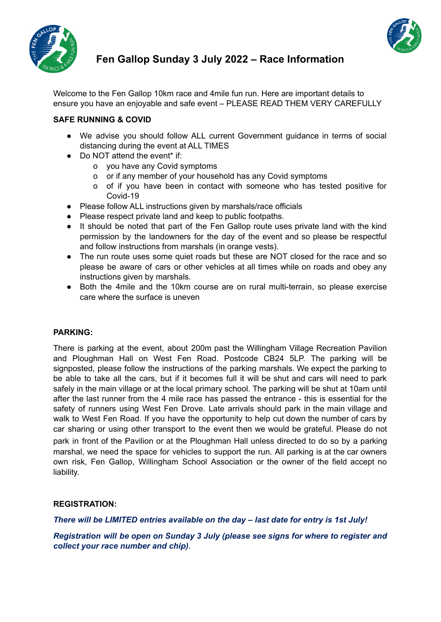



# **Fen Gallop Sunday 3 July 2022 – Race Information**

Welcome to the Fen Gallop 10km race and 4mile fun run. Here are important details to ensure you have an enjoyable and safe event – PLEASE READ THEM VERY CAREFULLY

# **SAFE RUNNING & COVID**

- We advise you should follow ALL current Government guidance in terms of social distancing during the event at ALL TIMES
- Do NOT attend the event<sup>\*</sup> if:
	- o you have any Covid symptoms
	- o or if any member of your household has any Covid symptoms
	- o of if you have been in contact with someone who has tested positive for Covid-19
- Please follow ALL instructions given by marshals/race officials
- Please respect private land and keep to public footpaths.
- It should be noted that part of the Fen Gallop route uses private land with the kind permission by the landowners for the day of the event and so please be respectful and follow instructions from marshals (in orange vests).
- The run route uses some quiet roads but these are NOT closed for the race and so please be aware of cars or other vehicles at all times while on roads and obey any instructions given by marshals.
- Both the 4mile and the 10km course are on rural multi-terrain, so please exercise care where the surface is uneven

## **PARKING:**

There is parking at the event, about 200m past the Willingham Village Recreation Pavilion and Ploughman Hall on West Fen Road. Postcode CB24 5LP. The parking will be signposted, please follow the instructions of the parking marshals. We expect the parking to be able to take all the cars, but if it becomes full it will be shut and cars will need to park safely in the main village or at the local primary school. The parking will be shut at 10am until after the last runner from the 4 mile race has passed the entrance - this is essential for the safety of runners using West Fen Drove. Late arrivals should park in the main village and walk to West Fen Road. If you have the opportunity to help cut down the number of cars by car sharing or using other transport to the event then we would be grateful. Please do not park in front of the Pavilion or at the Ploughman Hall unless directed to do so by a parking marshal, we need the space for vehicles to support the run. All parking is at the car owners own risk, Fen Gallop, Willingham School Association or the owner of the field accept no liability.

## **REGISTRATION:**

*There will be LIMITED entries available on the day – last date for entry is 1st July!*

## *Registration will be open on Sunday 3 July (please see signs for where to register and collect your race number and chip)*.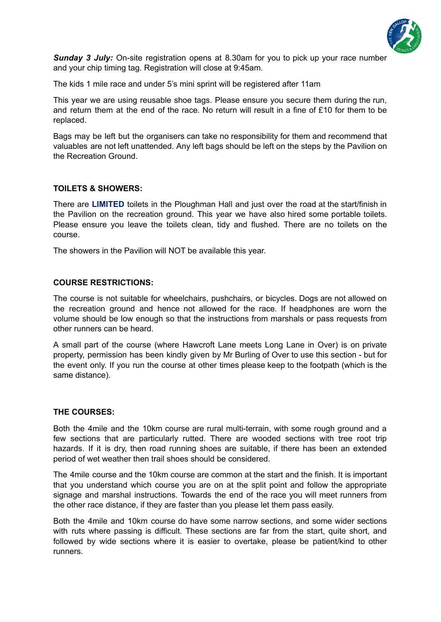

*Sunday 3 July:* On-site registration opens at 8.30am for you to pick up your race number and your chip timing tag. Registration will close at 9:45am.

The kids 1 mile race and under 5's mini sprint will be registered after 11am

This year we are using reusable shoe tags. Please ensure you secure them during the run, and return them at the end of the race. No return will result in a fine of £10 for them to be replaced.

Bags may be left but the organisers can take no responsibility for them and recommend that valuables are not left unattended. Any left bags should be left on the steps by the Pavilion on the Recreation Ground.

## **TOILETS & SHOWERS:**

There are **LIMITED** toilets in the Ploughman Hall and just over the road at the start/finish in the Pavilion on the recreation ground. This year we have also hired some portable toilets. Please ensure you leave the toilets clean, tidy and flushed. There are no toilets on the course.

The showers in the Pavilion will NOT be available this year.

#### **COURSE RESTRICTIONS:**

The course is not suitable for wheelchairs, pushchairs, or bicycles. Dogs are not allowed on the recreation ground and hence not allowed for the race. If headphones are worn the volume should be low enough so that the instructions from marshals or pass requests from other runners can be heard.

A small part of the course (where Hawcroft Lane meets Long Lane in Over) is on private property, permission has been kindly given by Mr Burling of Over to use this section - but for the event only. If you run the course at other times please keep to the footpath (which is the same distance).

#### **THE COURSES:**

Both the 4mile and the 10km course are rural multi-terrain, with some rough ground and a few sections that are particularly rutted. There are wooded sections with tree root trip hazards. If it is dry, then road running shoes are suitable, if there has been an extended period of wet weather then trail shoes should be considered.

The 4mile course and the 10km course are common at the start and the finish. It is important that you understand which course you are on at the split point and follow the appropriate signage and marshal instructions. Towards the end of the race you will meet runners from the other race distance, if they are faster than you please let them pass easily.

Both the 4mile and 10km course do have some narrow sections, and some wider sections with ruts where passing is difficult. These sections are far from the start, quite short, and followed by wide sections where it is easier to overtake, please be patient/kind to other runners.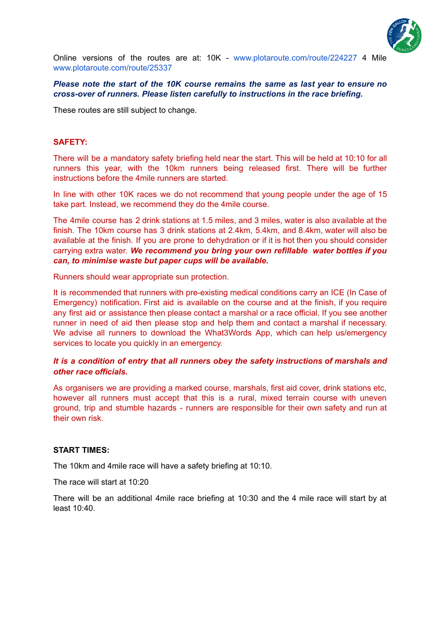

Online versions of the routes are at: 10K - www.plotaroute.com/route/224227 4 Mile www.plotaroute.com/route/25337

#### *Please note the start of the 10K course remains the same as last year to ensure no cross-over of runners. Please listen carefully to instructions in the race briefing.*

These routes are still subject to change.

#### **SAFETY:**

There will be a mandatory safety briefing held near the start. This will be held at 10:10 for all runners this year, with the 10km runners being released first. There will be further instructions before the 4mile runners are started.

In line with other 10K races we do not recommend that young people under the age of 15 take part. Instead, we recommend they do the 4mile course.

The 4mile course has 2 drink stations at 1.5 miles, and 3 miles, water is also available at the finish. The 10km course has 3 drink stations at 2.4km, 5.4km, and 8.4km, water will also be available at the finish. If you are prone to dehydration or if it is hot then you should consider carrying extra water. *We recommend you bring your own refillable water bottles if you can, to minimise waste but paper cups will be available.*

Runners should wear appropriate sun protection.

It is recommended that runners with pre-existing medical conditions carry an ICE (In Case of Emergency) notification. First aid is available on the course and at the finish, if you require any first aid or assistance then please contact a marshal or a race official. If you see another runner in need of aid then please stop and help them and contact a marshal if necessary. We advise all runners to download the What3Words App, which can help us/emergency services to locate you quickly in an emergency.

#### *It is a condition of entry that all runners obey the safety instructions of marshals and other race officials.*

As organisers we are providing a marked course, marshals, first aid cover, drink stations etc, however all runners must accept that this is a rural, mixed terrain course with uneven ground, trip and stumble hazards - runners are responsible for their own safety and run at their own risk.

#### **START TIMES:**

The 10km and 4mile race will have a safety briefing at 10:10.

The race will start at 10:20

There will be an additional 4mile race briefing at 10:30 and the 4 mile race will start by at least 10:40.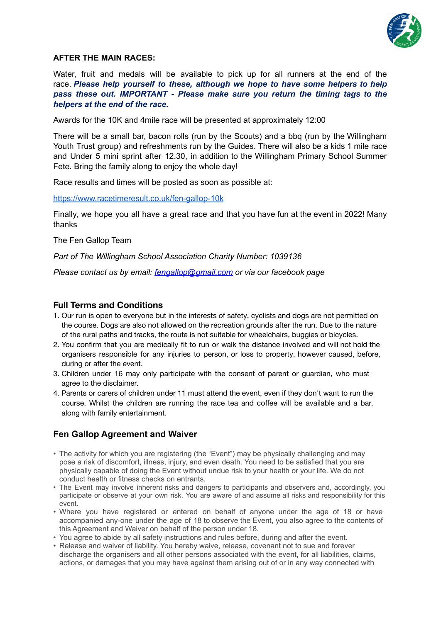

#### **AFTER THE MAIN RACES:**

Water, fruit and medals will be available to pick up for all runners at the end of the race. *Please help yourself to these, although we hope to have some helpers to help pass these out. IMPORTANT - Please make sure you return the timing tags to the helpers at the end of the race.*

Awards for the 10K and 4mile race will be presented at approximately 12:00

There will be a small bar, bacon rolls (run by the Scouts) and a bbq (run by the Willingham Youth Trust group) and refreshments run by the Guides. There will also be a kids 1 mile race and Under 5 mini sprint after 12.30, in addition to the Willingham Primary School Summer Fete. Bring the family along to enjoy the whole day!

Race results and times will be posted as soon as possible at:

<https://www.racetimeresult.co.uk/fen-gallop-10k>

Finally, we hope you all have a great race and that you have fun at the event in 2022! Many thanks

The Fen Gallop Team

*Part of The Willingham School Association Charity Number: 1039136*

*Please contact us by email: [fengallop@gmail.com](mailto:fengallop@gmail.com) or via our facebook page*

#### **Full Terms and Conditions**

- 1. Our run is open to everyone but in the interests of safety, cyclists and dogs are not permitted on the course. Dogs are also not allowed on the recreation grounds after the run. Due to the nature of the rural paths and tracks, the route is not suitable for wheelchairs, buggies or bicycles.
- 2. You confirm that you are medically fit to run or walk the distance involved and will not hold the organisers responsible for any injuries to person, or loss to property, however caused, before, during or after the event.
- 3. Children under 16 may only participate with the consent of parent or guardian, who must agree to the disclaimer.
- 4. Parents or carers of children under 11 must attend the event, even if they don't want to run the course. Whilst the children are running the race tea and coffee will be available and a bar, along with family entertainment.

## **Fen Gallop Agreement and Waiver**

- The activity for which you are registering (the "Event") may be physically challenging and may pose a risk of discomfort, illness, injury, and even death. You need to be satisfied that you are physically capable of doing the Event without undue risk to your health or your life. We do not conduct health or fitness checks on entrants.
- The Event may involve inherent risks and dangers to participants and observers and, accordingly, you participate or observe at your own risk. You are aware of and assume all risks and responsibility for this event.
- Where you have registered or entered on behalf of anyone under the age of 18 or have accompanied any-one under the age of 18 to observe the Event, you also agree to the contents of this Agreement and Waiver on behalf of the person under 18.
- You agree to abide by all safety instructions and rules before, during and after the event.
- Release and waiver of liability. You hereby waive, release, covenant not to sue and forever discharge the organisers and all other persons associated with the event, for all liabilities, claims, actions, or damages that you may have against them arising out of or in any way connected with